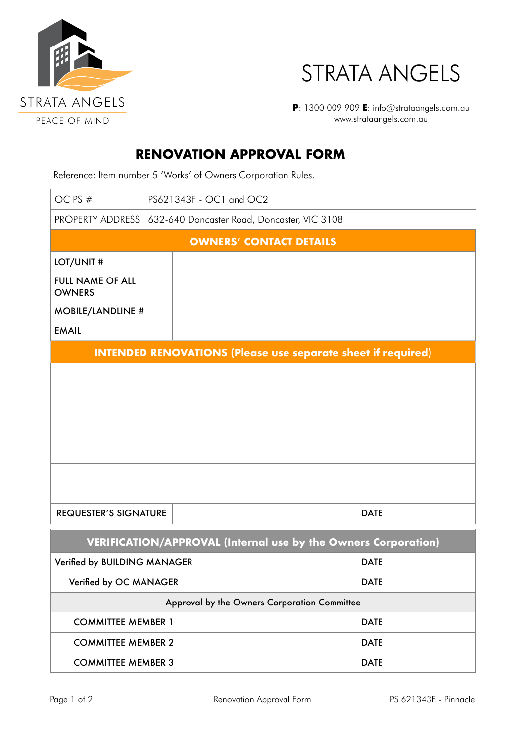



**P**: 1300 009 909 **E**: info@strataangels.com.au www.strataangels.com.au

## **RENOVATION APPROVAL FORM**

Reference: Item number 5 'Works' of Owners Corporation Rules.

| OC PS #                                                             | PS621343F - OC1 and OC2                     |  |  |  |             |             |  |
|---------------------------------------------------------------------|---------------------------------------------|--|--|--|-------------|-------------|--|
| PROPERTY ADDRESS                                                    | 632-640 Doncaster Road, Doncaster, VIC 3108 |  |  |  |             |             |  |
| <b>OWNERS' CONTACT DETAILS</b>                                      |                                             |  |  |  |             |             |  |
| LOT/UNIT #                                                          |                                             |  |  |  |             |             |  |
| <b>FULL NAME OF ALL</b><br><b>OWNERS</b>                            |                                             |  |  |  |             |             |  |
| <b>MOBILE/LANDLINE #</b>                                            |                                             |  |  |  |             |             |  |
| <b>EMAIL</b>                                                        |                                             |  |  |  |             |             |  |
| <b>INTENDED RENOVATIONS (Please use separate sheet if required)</b> |                                             |  |  |  |             |             |  |
|                                                                     |                                             |  |  |  |             |             |  |
|                                                                     |                                             |  |  |  |             |             |  |
|                                                                     |                                             |  |  |  |             |             |  |
|                                                                     |                                             |  |  |  |             |             |  |
|                                                                     |                                             |  |  |  |             |             |  |
|                                                                     |                                             |  |  |  |             |             |  |
|                                                                     |                                             |  |  |  |             |             |  |
| <b>REQUESTER'S SIGNATURE</b>                                        |                                             |  |  |  |             | <b>DATE</b> |  |
| VERIFICATION/APPROVAL (Internal use by the Owners Corporation)      |                                             |  |  |  |             |             |  |
| Verified by BUILDING MANAGER                                        |                                             |  |  |  |             | <b>DATE</b> |  |
| Verified by OC MANAGER                                              |                                             |  |  |  | <b>DATE</b> |             |  |

| Approval by the Owners Corporation Committee |             |  |  |  |  |  |
|----------------------------------------------|-------------|--|--|--|--|--|
| <b>COMMITTEE MEMBER 1</b>                    | <b>DATE</b> |  |  |  |  |  |
| <b>COMMITTEE MEMBER 2</b>                    | <b>DATE</b> |  |  |  |  |  |
| <b>COMMITTEE MEMBER 3</b>                    | <b>DATE</b> |  |  |  |  |  |